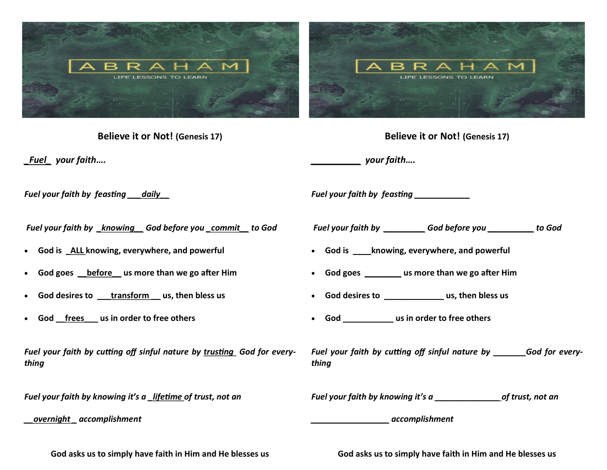

**Believe it or Not! (Genesis 17)** 

*\_Fuel\_ your faith….*

**Believe it or Not! (Genesis 17)** 

*\_\_\_\_\_\_\_\_\_\_ your faith….*

*Fuel your faith by feasting \_\_\_daily\_\_*

*Fuel your faith by \_knowing\_\_ God before you \_commit\_\_ to God*

- **God is \_ALL knowing, everywhere, and powerful**
- **God goes \_\_before\_\_ us more than we go after Him**
- **God desires to \_\_\_transform \_\_ us, then bless us**
- **God \_\_frees\_\_\_ us in order to free others**

*Fuel your faith by cutting off sinful nature by trusting God for everything*

*Fuel your faith by knowing it's a \_lifetime of trust, not an* 

*\_\_overnight \_ accomplishment* 

*Fuel your faith by feasting \_\_\_\_\_\_\_\_\_\_\_\_ Fuel your faith by \_\_\_\_\_\_\_\_\_ God before you \_\_\_\_\_\_\_\_\_\_ to God* • **God is \_\_\_\_knowing, everywhere, and powerful** • **God goes \_\_\_\_\_\_\_\_ us more than we go after Him** • **God desires to \_\_\_\_\_\_\_\_\_\_\_\_\_ us, then bless us** • **God \_\_\_\_\_\_\_\_\_\_\_ us in order to free others**

*Fuel your faith by cutting off sinful nature by \_\_\_\_\_\_\_God for everything*

*Fuel your faith by knowing it's a \_\_\_\_\_\_\_\_\_\_\_\_\_\_ of trust, not an* 

*\_\_\_\_\_\_\_\_\_\_\_\_\_\_\_\_\_ accomplishment* 

**God asks us to simply have faith in Him and He blesses us**

**God asks us to simply have faith in Him and He blesses us**